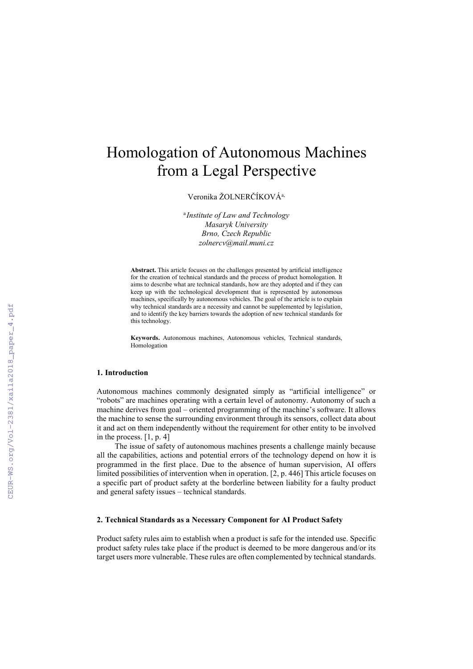# Homologation of Autonomous Machines from a Legal Perspective

Veronika ŽOLNERČÍKOVÁa,

a *Institute of Law and Technology Masaryk University Brno, Czech Republic zolnercv@mail.muni.cz*

**Abstract.** This article focuses on the challenges presented by artificial intelligence for the creation of technical standards and the process of product homologation. It aims to describe what are technical standards, how are they adopted and if they can keep up with the technological development that is represented by autonomous machines, specifically by autonomous vehicles. The goal of the article is to explain why technical standards are a necessity and cannot be supplemented by legislation, and to identify the key barriers towards the adoption of new technical standards for this technology.

**Keywords.** Autonomous machines, Autonomous vehicles, Technical standards, Homologation

## **1. Introduction**

Autonomous machines commonly designated simply as "artificial intelligence" or "robots" are machines operating with a certain level of autonomy. Autonomy of such a machine derives from goal – oriented programming of the machine's software. It allows the machine to sense the surrounding environment through its sensors, collect data about it and act on them independently without the requirement for other entity to be involved in the process. [1, p. 4]

The issue of safety of autonomous machines presents a challenge mainly because all the capabilities, actions and potential errors of the technology depend on how it is programmed in the first place. Due to the absence of human supervision, AI offers limited possibilities of intervention when in operation. [2, p. 446] This article focuses on a specific part of product safety at the borderline between liability for a faulty product and general safety issues – technical standards.

# **2. Technical Standards as a Necessary Component for AI Product Safety**

Product safety rules aim to establish when a product is safe for the intended use. Specific product safety rules take place if the product is deemed to be more dangerous and/or its target users more vulnerable. These rules are often complemented by technical standards.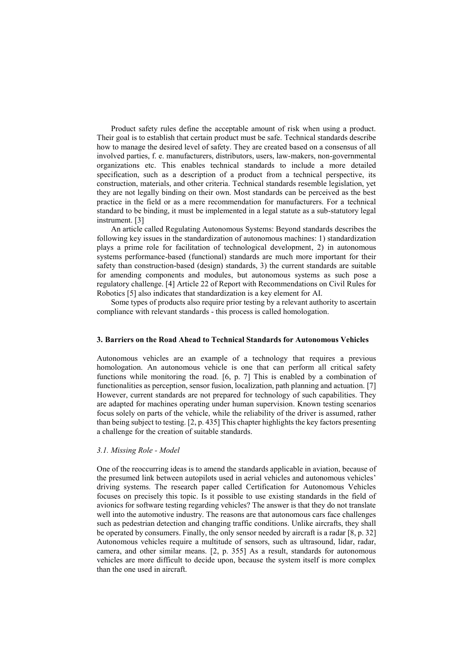Product safety rules define the acceptable amount of risk when using a product. Their goal is to establish that certain product must be safe. Technical standards describe how to manage the desired level of safety. They are created based on a consensus of all involved parties, f. e. manufacturers, distributors, users, law-makers, non-governmental organizations etc. This enables technical standards to include a more detailed specification, such as a description of a product from a technical perspective, its construction, materials, and other criteria. Technical standards resemble legislation, yet they are not legally binding on their own. Most standards can be perceived as the best practice in the field or as a mere recommendation for manufacturers. For a technical standard to be binding, it must be implemented in a legal statute as a sub-statutory legal instrument. [3]

An article called Regulating Autonomous Systems: Beyond standards describes the following key issues in the standardization of autonomous machines: 1) standardization plays a prime role for facilitation of technological development, 2) in autonomous systems performance-based (functional) standards are much more important for their safety than construction-based (design) standards, 3) the current standards are suitable for amending components and modules, but autonomous systems as such pose a regulatory challenge. [4] Article 22 of Report with Recommendations on Civil Rules for Robotics [5] also indicates that standardization is a key element for AI.

Some types of products also require prior testing by a relevant authority to ascertain compliance with relevant standards - this process is called homologation.

# **3. Barriers on the Road Ahead to Technical Standards for Autonomous Vehicles**

Autonomous vehicles are an example of a technology that requires a previous homologation. An autonomous vehicle is one that can perform all critical safety functions while monitoring the road. [6, p. 7] This is enabled by a combination of functionalities as perception, sensor fusion, localization, path planning and actuation. [7] However, current standards are not prepared for technology of such capabilities. They are adapted for machines operating under human supervision. Known testing scenarios focus solely on parts of the vehicle, while the reliability of the driver is assumed, rather than being subject to testing. [2, p. 435] This chapter highlights the key factors presenting a challenge for the creation of suitable standards.

## *3.1. Missing Role - Model*

One of the reoccurring ideas is to amend the standards applicable in aviation, because of the presumed link between autopilots used in aerial vehicles and autonomous vehicles' driving systems. The research paper called Certification for Autonomous Vehicles focuses on precisely this topic. Is it possible to use existing standards in the field of avionics for software testing regarding vehicles? The answer is that they do not translate well into the automotive industry. The reasons are that autonomous cars face challenges such as pedestrian detection and changing traffic conditions. Unlike aircrafts, they shall be operated by consumers. Finally, the only sensor needed by aircraft is a radar [8, p. 32] Autonomous vehicles require a multitude of sensors, such as ultrasound, lidar, radar, camera, and other similar means. [2, p. 355] As a result, standards for autonomous vehicles are more difficult to decide upon, because the system itself is more complex than the one used in aircraft.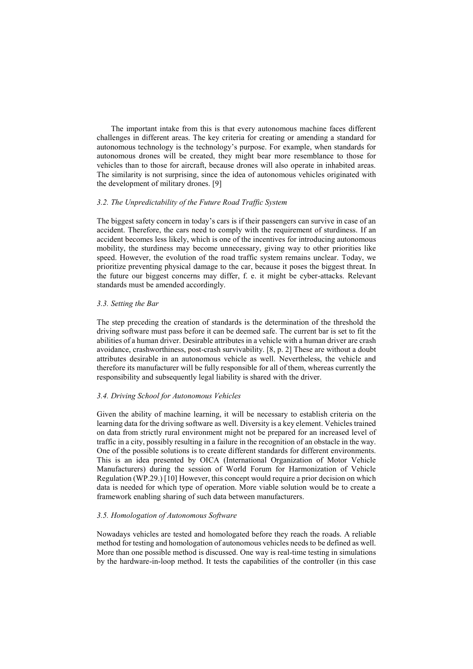The important intake from this is that every autonomous machine faces different challenges in different areas. The key criteria for creating or amending a standard for autonomous technology is the technology's purpose. For example, when standards for autonomous drones will be created, they might bear more resemblance to those for vehicles than to those for aircraft, because drones will also operate in inhabited areas. The similarity is not surprising, since the idea of autonomous vehicles originated with the development of military drones. [9]

#### *3.2. The Unpredictability of the Future Road Traffic System*

The biggest safety concern in today's cars is if their passengers can survive in case of an accident. Therefore, the cars need to comply with the requirement of sturdiness. If an accident becomes less likely, which is one of the incentives for introducing autonomous mobility, the sturdiness may become unnecessary, giving way to other priorities like speed. However, the evolution of the road traffic system remains unclear. Today, we prioritize preventing physical damage to the car, because it poses the biggest threat. In the future our biggest concerns may differ, f. e. it might be cyber-attacks. Relevant standards must be amended accordingly.

#### *3.3. Setting the Bar*

The step preceding the creation of standards is the determination of the threshold the driving software must pass before it can be deemed safe. The current bar is set to fit the abilities of a human driver. Desirable attributes in a vehicle with a human driver are crash avoidance, crashworthiness, post-crash survivability. [8, p. 2] These are without a doubt attributes desirable in an autonomous vehicle as well. Nevertheless, the vehicle and therefore its manufacturer will be fully responsible for all of them, whereas currently the responsibility and subsequently legal liability is shared with the driver.

#### *3.4. Driving School for Autonomous Vehicles*

Given the ability of machine learning, it will be necessary to establish criteria on the learning data for the driving software as well. Diversity is a key element. Vehicles trained on data from strictly rural environment might not be prepared for an increased level of traffic in a city, possibly resulting in a failure in the recognition of an obstacle in the way. One of the possible solutions is to create different standards for different environments. This is an idea presented by OICA (International Organization of Motor Vehicle Manufacturers) during the session of World Forum for Harmonization of Vehicle Regulation (WP.29.) [10] However, this concept would require a prior decision on which data is needed for which type of operation. More viable solution would be to create a framework enabling sharing of such data between manufacturers.

#### *3.5. Homologation of Autonomous Software*

Nowadays vehicles are tested and homologated before they reach the roads. A reliable method for testing and homologation of autonomous vehicles needs to be defined as well. More than one possible method is discussed. One way is real-time testing in simulations by the hardware-in-loop method. It tests the capabilities of the controller (in this case